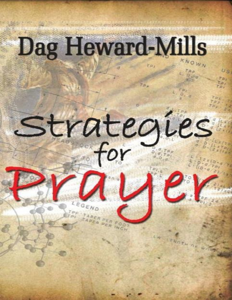# Dag Heward-Mills

Strategies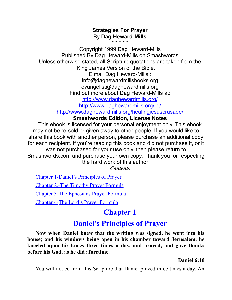#### **Strategies For Prayer** By **Dag Heward-Mills** \* \* \* \* \*

Copyright 1999 Dag Heward-Mills Published By Dag Heward-Mills on Smashwords Unless otherwise stated, all Scripture quotations are taken from the King James Version of the Bible. E mail Dag Heward-Mills : info@daghewardmillsbooks.org evangelist@daghewardmills.org Find out more about Dag Heward-Mills at: <http://www.daghewardmills.org/> <http://www.daghewardmills.org/lci/> <http://www.daghewardmills.org/healingjesuscrusade/>

# **Smashwords Edition, License Notes**

This ebook is licensed for your personal enjoyment only. This ebook may not be re-sold or given away to other people. If you would like to share this book with another person, please purchase an additional copy for each recipient. If you're reading this book and did not purchase it, or it was not purchased for your use only, then please return to Smashwords.com and purchase your own copy. Thank you for respecting the hard work of this author.

*Contents*

<span id="page-1-2"></span><span id="page-1-1"></span>Chapter [1-Daniel's](#page-1-0) Principles of Prayer Chapter 2.-The [Timothy](#page-9-0) Prayer Formula Chapter 3-The [Ephesians](#page-15-0) Prayer Formula Chapter 4-The Lord's Prayer [Formula](#page-21-0)

# **[Chapter](#page-1-1) 1**

# **Daniel's [Principles](#page-1-1) of Prayer**

<span id="page-1-0"></span>**Now when Daniel knew that the writing was signed, he went into his house; and his windows being open in his chamber toward Jerusalem, he kneeled upon his knees three times a day, and prayed, and gave thanks before his God, as he did aforetime.**

# **Daniel 6:10**

You will notice from this Scripture that Daniel prayed three times a day. An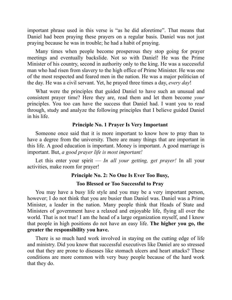important phrase used in this verse is "as he did aforetime". That means that Daniel had been praying these prayers on a regular basis. Daniel was not just praying because he was in trouble; he had a habit of praying.

Many times when people become prosperous they stop going for prayer meetings and eventually backslide. Not so with Daniel! He was the Prime Minister of his country, second in authority only to the king. He was a successful man who had risen from slavery to the high office of Prime Minister. He was one of the most respected and feared men in the nation. He was a major politician of the day. He was a civil servant. Yet, he prayed three times a day, *every day*!

What were the principles that guided Daniel to have such an unusual and consistent prayer time? Here they are, read them and let them become *your* principles. You too can have the success that Daniel had. I want you to read through, study and analyze the following principles that I believe guided Daniel in his life.

# **Principle No. 1 Prayer Is Very Important**

Someone once said that it is more important to know how to pray than to have a degree from the university. There are many things that are important in this life. A good education is important. Money is important. A good marriage is important. But, *a good prayer life is most important!*

Let this enter your spirit — *In all your getting, get prayer!* In all your activities, make room for prayer!

# **Principle No. 2: No One Is Ever Too Busy,**

# **Too Blessed or Too Successful to Pray**

You may have a busy life style and you may be a very important person, however; I do not think that you are busier than Daniel was. Daniel was a Prime Minister, a leader in the nation. Many people think that Heads of State and Ministers of government have a relaxed and enjoyable life, flying all over the world. That is not true! I am the head of a large organization myself, and I know that people in high positions do not have an easy life. **The higher you go, the greater the responsibility you have.**

There is so much hard work involved in staying on the cutting edge of life and ministry. Did you know that successful executives like Daniel are so stressed out that they are prone to diseases like stomach ulcers and heart attacks? These conditions are more common with very busy people because of the hard work that they do.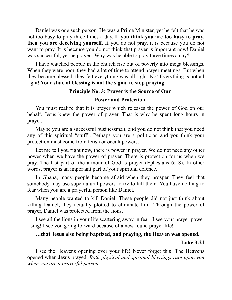Daniel was one such person. He was a Prime Minister, yet he felt that he was not too busy to pray three times a day. **If you think you are too busy to pray, then you are deceiving yourself.** If you do not pray, it is because you do not want to pray. It is because you do not think that prayer is important now! Daniel was successful, yet he prayed. Why was he able to pray three times a day?

I have watched people in the church rise out of poverty into mega blessings. When they were poor, they had a lot of time to attend prayer meetings. But when they became blessed, they felt everything was all right. No! Everything is not all right! **Your state of blessing is not the signal to stop praying.**

# **Principle No. 3: Prayer is the Source of Our**

# **Power and Protection**

You must realize that it is prayer which releases the power of God on our behalf. Jesus knew the power of prayer. That is why he spent long hours in prayer.

Maybe you are a successful businessman, and you do not think that you need any of this spiritual "stuff". Perhaps you are a politician and you think your protection must come from fetish or occult powers.

Let me tell you right now, there is power in prayer. We do not need any other power when we have the power of prayer. There is protection for us when we pray. The last part of the armour of God is prayer (Ephesians 6:18). In other words, prayer is an important part of your spiritual defence.

In Ghana, many people become afraid when they prosper. They feel that somebody may use supernatural powers to try to kill them. You have nothing to fear when you are a prayerful person like Daniel.

Many people wanted to kill Daniel. These people did not just think about killing Daniel, they actually plotted to eliminate him. Through the power of prayer, Daniel was protected from the lions.

I see all the lions in your life scattering away in fear! I see your prayer power rising! I see you going forward because of a new found prayer life!

# **…that Jesus also being baptized, and praying, the Heaven was opened.**

# **Luke 3:21**

I see the Heavens opening over your life! Never forget this! The Heavens opened when Jesus prayed. *Both physical and spiritual blessings rain upon you when you are a prayerful person.*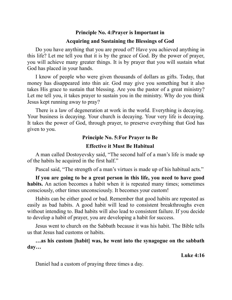# **Principle No. 4:Prayer is Important in Acquiring and Sustaining the Blessings of God**

Do you have anything that you are proud of? Have you achieved anything in this life? Let me tell you that it is by the grace of God. By the power of prayer, you will achieve many greater things. It is by prayer that you will sustain what God has placed in your hands.

I know of people who were given thousands of dollars as gifts. Today, that money has disappeared into thin air. God may give you something but it also takes His grace to sustain that blessing. Are you the pastor of a great ministry? Let me tell you, it takes prayer to sustain you in the ministry. Why do you think Jesus kept running away to pray?

There is a law of degeneration at work in the world. Everything is decaying. Your business is decaying. Your church is decaying. Your very life is decaying. It takes the power of God, through prayer, to preserve everything that God has given to you.

# **Principle No. 5:For Prayer to Be**

# **Effective it Must Be Habitual**

A man called Dostoyevsky said, "The second half of a man's life is made up of the habits he acquired in the first half."

Pascal said, "The strength of a man's virtues is made up of his habitual acts."

**If you are going to be a great person in this life, you need to have good habits.** An action becomes a habit when it is repeated many times; sometimes consciously, other times unconsciously. It becomes your custom!

Habits can be either good or bad. Remember that good habits are repeated as easily as bad habits. A good habit will lead to consistent breakthroughs even without intending to. Bad habits will also lead to consistent failure. If you decide to develop a habit of prayer, you are developing a habit for success.

Jesus went to church on the Sabbath because it was his habit. The Bible tells us that Jesus had customs or habits.

**…as his custom [habit] was, he went into the synagogue on the sabbath day…**

**Luke 4:16**

Daniel had a custom of praying three times a day.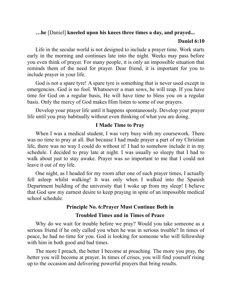# **…he** [Daniel] **kneeled upon his knees three times a day, and prayed...**

# **Daniel 6:10**

Life in the secular world is not designed to include a prayer time. Work starts early in the morning and continues late into the night. Weeks may pass before you even think of prayer. For many people, it is only an impossible situation that reminds them of the need for prayer. Dear friend, it is important for you to include prayer in your life.

God is not a spare tyre! A spare tyre is something that is never used except in emergencies. God is no fool. Whatsoever a man sows, he will reap. If you have time for God on a regular basis, He will have time to bless you on a regular basis. Only the mercy of God makes Him listen to some of our prayers.

Develop your prayer life until it happens spontaneously. Develop your prayer life until you pray habitually without even thinking of what you are doing.

# **I Made Time to Pray**

When I was a medical student, I was very busy with my coursework. There was no time to pray at all. But because I had made prayer a part of my Christian life, there was no way I could do without it! I had to somehow include it in my schedule. I decided to pray late at night. I was usually so sleepy that I had to walk about just to stay awake. Prayer was so important to me that I could not leave it out of my life.

One night, as I headed for my room after one of such prayer times, I actually fell asleep whilst walking! It was only when I walked into the Spanish Department building of the university that I woke up from my sleep! I believe that God saw my earnest desire to keep praying in spite of an impossible medical school schedule.

# **Principle No. 6:Prayer Must Continue Both in**

# **Troubled Times and in Times of Peace**

Why do we wait for trouble before we pray? Would you take someone as a serious friend if he only called you when he was in serious trouble? In times of peace, he had no time for you. God is looking for someone who will fellowship with him in both good and bad times.

The more I preach, the better I become at preaching. The more you pray, the better you will become at prayer. In times of crises, you will find yourself rising up to the occasion and delivering powerful prayers that bring results.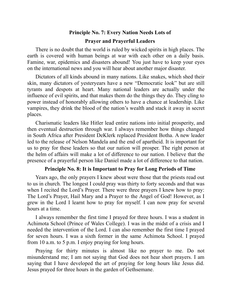# **Principle No. 7: Every Nation Needs Lots of Prayer and Prayerful Leaders**

There is no doubt that the world is ruled by wicked spirits in high places. The earth is covered with human beings at war with each other on a daily basis. Famine, war, epidemics and disasters abound! You just have to keep your eyes on the international news and you will hear about another major disaster.

Dictators of all kinds abound in many nations. Like snakes, which shed their skin, many dictators of yesteryears have a new "Democratic look" but are still tyrants and despots at heart. Many national leaders are actually under the influence of evil spirits, and that makes them do the things they do. They cling to power instead of honorably allowing others to have a chance at leadership. Like vampires, they drink the blood of the nation's wealth and stack it away in secret places.

Charismatic leaders like Hitler lead entire nations into initial prosperity, and then eventual destruction through war. I always remember how things changed in South Africa after President DeKlerk replaced President Botha. A new leader led to the release of Nelson Mandela and the end of apartheid. It is important for us to pray for these leaders so that our nation will prosper. The right person at the helm of affairs will make a lot of difference to our nation. I believe that the presence of a prayerful person like Daniel made a lot of difference to that nation.

# **Principle No. 8: It is Important to Pray for Long Periods of Time**

Years ago, the only prayers I knew about were those that the priests read out to us in church. The longest I could pray was thirty to forty seconds and that was when I recited the Lord's Prayer. There were three prayers I knew how to pray: The Lord's Prayer, Hail Mary and a Prayer to the Angel of God! However, as I grew in the Lord I learnt how to pray for myself. I can now pray for several hours at a time.

I always remember the first time I prayed for three hours. I was a student in Achimota School (Prince of Wales College). I was in the midst of a crisis and I needed the intervention of the Lord. I can also remember the first time I prayed for seven hours. I was a sixth former in the same Achimota School. I prayed from 10 a.m. to 5 p.m. I enjoy praying for long hours.

Praying for thirty minutes is almost like no prayer to me. Do not misunderstand me; I am not saying that God does not hear short prayers. I am saying that I have developed the art of praying for long hours like Jesus did. Jesus prayed for three hours in the garden of Gethsemane.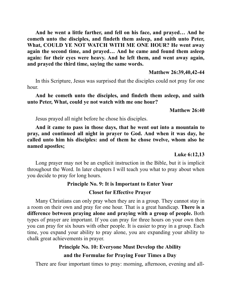**And he went a little farther, and fell on his face, and prayed… And he cometh unto the disciples, and findeth them asleep, and saith unto Peter, What, COULD YE NOT WATCH WITH ME ONE HOUR? He went away again the second time, and prayed… And he came and found them asleep again: for their eyes were heavy. And he left them, and went away again, and prayed the third time, saying the same words.**

# **Matthew 26:39,40,42-44**

In this Scripture, Jesus was surprised that the disciples could not pray for one hour.

# **And he cometh unto the disciples, and findeth them asleep, and saith unto Peter, What, could ye not watch with me one hour?**

# **Matthew 26:40**

Jesus prayed all night before he chose his disciples.

**And it came to pass in those days, that he went out into a mountain to pray, and continued all night in prayer to God. And when it was day, he called unto him his disciples: and of them he chose twelve, whom also he named apostles;**

# **Luke 6:12,13**

Long prayer may not be an explicit instruction in the Bible, but it is implicit throughout the Word. In later chapters I will teach you what to pray about when you decide to pray for long hours.

# **Principle No. 9: It is Important to Enter Your**

# **Closet for Effective Prayer**

Many Christians can only pray when they are in a group. They cannot stay in a room on their own and pray for one hour. That is a great handicap. **There is a difference between praying alone and praying with a group of people.** Both types of prayer are important. If you can pray for three hours on your own then you can pray for six hours with other people. It is easier to pray in a group. Each time, you expand your ability to pray alone, you are expanding your ability to chalk great achievements in prayer.

# **Principle No. 10: Everyone Must Develop the Ability and the Formulae for Praying Four Times a Day**

There are four important times to pray: morning, afternoon, evening and all-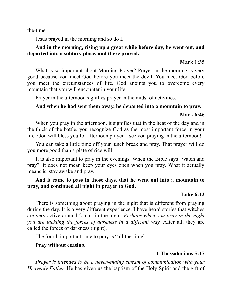the-time.

Jesus prayed in the morning and so do I.

# **And in the morning, rising up a great while before day, he went out, and departed into a solitary place, and there prayed.**

## **Mark 1:35**

What is so important about Morning Prayer? Prayer in the morning is very good because you meet God before you meet the devil. You meet God before you meet the circumstances of life. God anoints you to overcome every mountain that you will encounter in your life.

Prayer in the afternoon signifies prayer in the midst of activities.

# **And when he had sent them away, he departed into a mountain to pray.**

# **Mark 6:46**

When you pray in the afternoon, it signifies that in the heat of the day and in the thick of the battle, you recognize God as the most important force in your life. God will bless you for afternoon prayer. I see you praying in the afternoon!

You can take a little time off your lunch break and pray. That prayer will do you more good than a plate of rice will!

It is also important to pray in the evenings. When the Bible says "watch and pray", it does not mean keep your eyes open when you pray. What it actually means is, stay awake and pray.

# **And it came to pass in those days, that he went out into a mountain to pray, and continued all night in prayer to God.**

# **Luke 6:12**

There is something about praying in the night that is different from praying during the day. It is a very different experience. I have heard stories that witches are very active around 2 a.m. in the night. *Perhaps when you pray in the night you are tackling the forces of darkness in a dif erent way.* After all, they are called the forces of darkness (night).

The fourth important time to pray is "all-the-time"

# **Pray without ceasing.**

# **1 Thessalonians 5:17**

*Prayer is intended to be a never-ending stream of communication with your Heavenly Father.* He has given us the baptism of the Holy Spirit and the gift of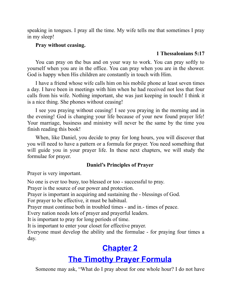speaking in tongues. I pray all the time. My wife tells me that sometimes I pray in my sleep!

# **Pray without ceasing.**

# **1 Thessalonians 5:17**

You can pray on the bus and on your way to work. You can pray softly to yourself when you are in the office. You can pray when you are in the shower. God is happy when His children are constantly in touch with Him.

I have a friend whose wife calls him on his mobile phone at least seven times a day. I have been in meetings with him when he had received not less that four calls from his wife. Nothing important, she was just keeping in touch! I think it is a nice thing. She phones without ceasing!

I see you praying without ceasing! I see you praying in the morning and in the evening! God is changing your life because of your new found prayer life! Your marriage, business and ministry will never be the same by the time you finish reading this book!

When, like Daniel, you decide to pray for long hours, you will discover that you will need to have a pattern or a formula for prayer. You need something that will guide you in your prayer life. In these next chapters, we will study the formulae for prayer.

# **Daniel's Principles of Prayer**

Prayer is very important.

No one is ever too busy, too blessed or too - successful to pray.

Prayer is the source of our power and protection.

Prayer is important in acquiring and sustaining the - blessings of God.

For prayer to be effective, it must be habitual.

Prayer must continue both in troubled times - and in.- times of peace.

Every nation needs lots of prayer and prayerful leaders.

It is important to pray for long periods of time.

It is important to enter your closet for effective prayer.

Everyone must develop the ability and the formulae - for praying four times a day.

# **[Chapter](#page-1-1) 2**

# **The Timothy Prayer [Formula](#page-1-1)**

<span id="page-9-0"></span>Someone may ask, "What do I pray about for one whole hour? I do not have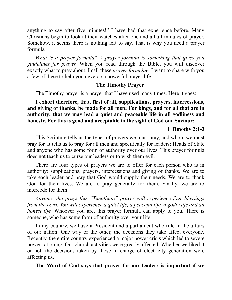anything to say after five minutes!" I have had that experience before. Many Christians begin to look at their watches after one and a half minutes of prayer. Somehow, it seems there is nothing left to say. That is why you need a prayer formula.

*What is a prayer formula? A prayer formula is something that gives you guidelines for prayer.* When you read through the Bible, you will discover exactly what to pray about. I call these *prayer formulae*. I want to share with you a few of these to help you develop a powerful prayer life.

### **The Timothy Prayer**

The Timothy prayer is a prayer that I have used many times. Here it goes:

**I exhort therefore, that, first of all, supplications, prayers, intercessions, and giving of thanks, be made for all men; For kings, and for all that are in authority; that we may lead a quiet and peaceable life in all godliness and honesty. For this is good and acceptable in the sight of God our Saviour;**

### **1 Timothy 2:1-3**

This Scripture tells us the types of prayers we must pray, and whom we must pray for. It tells us to pray for all men and specifically for leaders; Heads of State and anyone who has some form of authority over our lives. This prayer formula does not teach us to curse our leaders or to wish them evil.

There are four types of prayers we are to offer for each person who is in authority: supplications, prayers, intercessions and giving of thanks. We are to take each leader and pray that God would supply their needs. We are to thank God for their lives. We are to pray generally for them. Finally, we are to intercede for them.

*Anyone who prays this "Timothian" prayer will experience four blessings from the Lord. You will experience a quiet life, a peaceful life, a godly life and an honest life.* Whoever you are, this prayer formula can apply to you. There is someone, who has some form of authority over your life.

In my country, we have a President and a parliament who rule in the affairs of our nation. One way or the other, the decisions they take affect everyone. Recently, the entire country experienced a major power crisis which led to severe power rationing. Our church activities were greatly affected. Whether we liked it or not, the decisions taken by those in charge of electricity generation were affecting us.

**The Word of God says that prayer for our leaders is important if we**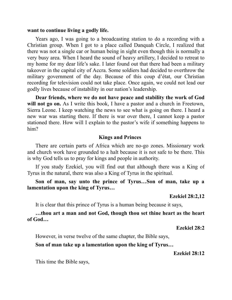#### **want to continue living a godly life.**

Years ago, I was going to a broadcasting station to do a recording with a Christian group. When I got to a place called Danquah Circle, I realized that there was not a single car or human being in sight even though this is normally a very busy area. When I heard the sound of heavy artillery, I decided to retreat to my home for my dear life's sake. I later found out that there had been a military takeover in the capital city of Accra. Some soldiers had decided to overthrow the military government of the day. Because of this coup d'état, our Christian recording for television could not take place. Once again, we could not lead our godly lives because of instability in our nation's leadership.

**Dear friends, where we do not have peace and stability the work of God will not go on.** As I write this book, I have a pastor and a church in Freetown, Sierra Leone. I keep watching the news to see what is going on there. I heard a new war was starting there. If there is war over there, I cannot keep a pastor stationed there. How will I explain to the pastor's wife if something happens to him?

#### **Kings and Princes**

There are certain parts of Africa which are no-go zones. Missionary work and church work have grounded to a halt because it is not safe to be there. This is why God tells us to pray for kings and people in authority.

If you study Ezekiel, you will find out that although there was a King of Tyrus in the natural, there was also a King of Tyrus in the spiritual.

**Son of man, say unto the prince of Tyrus…Son of man, take up a lamentation upon the king of Tyrus…**

**Ezekiel 28:2,12**

It is clear that this prince of Tyrus is a human being because it says,

**…thou art a man and not God, though thou set thine heart as the heart of God…**

**Ezekiel 28:2**

However, in verse twelve of the same chapter, the Bible says,

#### **Son of man take up a lamentation upon the king of Tyrus…**

**Ezekiel 28:12**

This time the Bible says,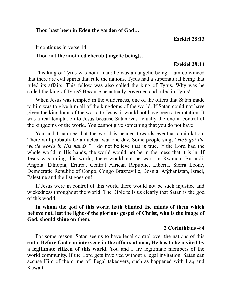#### **Thou hast been in Eden the garden of God…**

**Ezekiel 28:13**

It continues in verse 14,

## **Thou art the anointed cherub [angelic being]…**

### **Ezekiel 28:14**

This king of Tyrus was not a man; he was an angelic being. I am convinced that there are evil spirits that rule the nations. Tyrus had a supernatural being that ruled its affairs. This fellow was also called the king of Tyrus. Why was he called the king of Tyrus? Because he actually governed and ruled in Tyrus!

When Jesus was tempted in the wilderness, one of the offers that Satan made to him was to give him all of the kingdoms of the world. If Satan could not have given the kingdoms of the world to Jesus, it would not have been a temptation. It was a real temptation to Jesus because Satan was actually the one in control of the kingdoms of the world. You cannot give something that you do not have!

You and I can see that the world is headed towards eventual annihilation. There will probably be a nuclear war one-day. Some people sing, *"He's got the whole world in His hands."* I do not believe that is true. If the Lord had the whole world in His hands, the world would not be in the mess that it is in. If Jesus was ruling this world, there would not be wars in Rwanda, Burundi, Angola, Ethiopia, Eritrea, Central African Republic, Liberia, Sierra Leone, Democratic Republic of Congo, Congo Brazzaville, Bosnia, Afghanistan, Israel, Palestine and the list goes on!

If Jesus were in control of this world there would not be such injustice and wickedness throughout the world. The Bible tells us clearly that Satan is the god of this world.

**In whom the god of this world hath blinded the minds of them which believe not, lest the light of the glorious gospel of Christ, who is the image of God, should shine on them.**

# **2 Corinthians 4:4**

For some reason, Satan seems to have legal control over the nations of this earth. **Before God can intervene in the affairs of men, He has to be invited by a legitimate citizen of this world.** You and I are legitimate members of the world community. If the Lord gets involved without a legal invitation, Satan can accuse Him of the crime of illegal takeovers, such as happened with Iraq and Kuwait.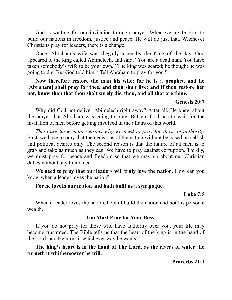God is waiting for our invitation through prayer. When we invite Him to build our nations in freedom, justice and peace, He will do just that. Whenever Christians pray for leaders, there is a change.

Once, Abraham's wife was illegally taken by the King of the day. God appeared to the king called Abimelech, and said, "You are a dead man. You have taken somebody's wife to be your own." The king was scared; he thought he was going to die. But God told him: "Tell Abraham to pray for you."

# **Now therefore restore the man his wife; for he is a prophet, and he [Abraham] shall pray for thee, and thou shalt live: and if thou restore her not, know thou that thou shalt surely die, thou, and all that are thine.**

#### **Genesis 20:7**

Why did God not deliver Abimelech right away? After all, He knew about the prayer that Abraham was going to pray. But no, God has to wait for the invitation of men before getting involved in the affairs of this world.

*There are three main reasons why we need to pray for those in authority.* First, we have to pray that the decisions of the nation will not be based on selfish and political desires only. The second reason is that the nature of all men is to grab and take as much as they can. We have to pray against corruption. Thirdly, we must pray for peace and freedom so that we may go about our Christian duties without any hindrance.

**We need to pray that our leaders will truly love the nation**. How can you know when a leader loves the nation?

#### **For he loveth our nation and hath built us a synagogue.**

#### **Luke 7:5**

When a leader loves the nation, he will build the nation and not his personal wealth.

#### **You Must Pray for Your Boss**

If you do not pray for those who have authority over you, your life may become frustrated. The Bible tells us that the heart of the king is in the hand of the Lord, and He turns it whichever way he wants.

**The king's heart is in the hand of The Lord, as the rivers of water: he turneth it whithersoever he will.**

**Proverbs 21:1**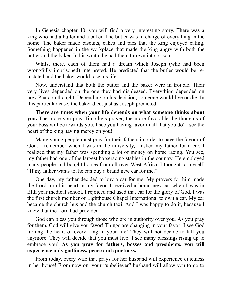In Genesis chapter 40, you will find a very interesting story. There was a king who had a butler and a baker. The butler was in charge of everything in the home. The baker made biscuits, cakes and pies that the king enjoyed eating. Something happened in the workplace that made the king angry with both the butler and the baker. In his wrath, he had them thrown into prison.

Whilst there, each of them had a dream which Joseph (who had been wrongfully imprisoned) interpreted. He predicted that the butler would be reinstated and the baker would lose his life.

Now, understand that both the butler and the baker were in trouble. Their very lives depended on the one they had displeased. Everything depended on how Pharaoh thought. Depending on his decision, someone would live or die. In this particular case, the baker died, just as Joseph predicted.

**There are times when your life depends on what someone thinks about you.** The more you pray Timothy's prayer, the more favorable the thoughts of your boss will be towards you. I see you having favor in all that you do! I see the heart of the king having mercy on you!

Many young people must pray for their fathers in order to have the favour of God. I remember when I was in the university, I asked my father for a car. I realized that my father was spending a lot of money on horse racing. You see, my father had one of the largest horseracing stables in the country. He employed many people and bought horses from all over West Africa. I thought to myself, "If my father wants to, he can buy a brand new car for me."

One day, my father decided to buy a car for me. My prayers for him made the Lord turn his heart in my favor. I received a brand new car when I was in fifth year medical school. I rejoiced and used that car for the glory of God. I was the first church member of Lighthouse Chapel International to own a car. My car became the church bus and the church taxi. And I was happy to do it, because I knew that the Lord had provided.

God can bless you through those who are in authority over you. As you pray for them, God will give you favor! Things are changing in your favor! I see God turning the heart of every king in your life! They will not decide to kill you anymore. They will decide that you must live! I see many blessings rising up to embrace you! **As you pray for fathers, bosses and presidents, you will experience only godliness, peace and quietness.**

From today, every wife that prays for her husband will experience quietness in her house! From now on, your "unbeliever" husband will allow you to go to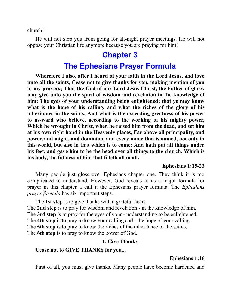church!

He will not stop you from going for all-night prayer meetings. He will not oppose your Christian life anymore because you are praying for him!

# **[Chapter](#page-1-2) 3**

# **The [Ephesians](#page-1-2) Prayer Formula**

<span id="page-15-0"></span>**Wherefore I also, after I heard of your faith in the Lord Jesus, and love unto all the saints, Cease not to give thanks for you, making mention of you in my prayers; That the God of our Lord Jesus Christ, the Father of glory, may give unto you the spirit of wisdom and revelation in the knowledge of him: The eyes of your understanding being enlightened; that ye may know what is the hope of his calling, and what the riches of the glory of his inheritance in the saints, And what is the exceeding greatness of his power to us-ward who believe, according to the working of his mighty power, Which he wrought in Christ, when he raised him from the dead, and set him at his own right hand in the Heavenly places, Far above all principality, and power, and might, and dominion, and every name that is named, not only in this world, but also in that which is to come: And hath put all things under his feet, and gave him to be the head over all things to the church, Which is his body, the fullness of him that filleth all in all.**

#### **Ephesians 1:15-23**

Many people just gloss over Ephesians chapter one. They think it is too complicated to understand. However, God reveals to us a major formula for prayer in this chapter. I call it the Ephesians prayer formula. The *Ephesians prayer formula* has six important steps.

The **1st step** is to give thanks with a grateful heart. The **2nd step** is to pray for wisdom and revelation - in the knowledge of him. The **3rd step** is to pray for the eyes of your - understanding to be enlightened. The **4th step** is to pray to know your calling and - the hope of your calling. The **5th step** is to pray to know the riches of the inheritance of the saints. The **6th step** is to pray to know the power of God.

# **1. Give Thanks**

#### **Cease not to GIVE THANKS for you...**

# **Ephesians 1:16**

First of all, you must give thanks. Many people have become hardened and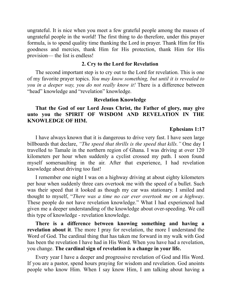ungrateful. It is nice when you meet a few grateful people among the masses of ungrateful people in the world! The first thing to do therefore, under this prayer formula, is to spend quality time thanking the Lord in prayer. Thank Him for His goodness and mercies, thank Him for His protection, thank Him for His provision— the list is endless!

#### **2. Cry to the Lord for Revelation**

The second important step is to cry out to the Lord for revelation. This is one of my favorite prayer topics. *You may know something, but until it is revealed to you in a deeper way, you do not really know it!* There is a difference between "head" knowledge and "revelation" knowledge.

#### **Revelation Knowledge**

# **That the God of our Lord Jesus Christ, the Father of glory, may give unto you the SPIRIT OF WISDOM AND REVELATION IN THE KNOWLEDGE OF HIM.**

#### **Ephesians 1:17**

I have always known that it is dangerous to drive very fast. I have seen large billboards that declare, *"The speed that thrills is the speed that kills."* One day I travelled to Tamale in the northern region of Ghana. I was driving at over 120 kilometers per hour when suddenly a cyclist crossed my path. I soon found myself somersaulting in the air. After that experience, I had revelation knowledge about driving too fast!

I remember one night I was on a highway driving at about eighty kilometers per hour when suddenly three cars overtook me with the speed of a bullet. Such was their speed that it looked as though my car was stationary. I smiled and thought to myself, "*There was a time no car ever overtook me on a highway*. These people do not have revelation knowledge." What I had experienced had given me a deeper understanding of the knowledge about over-speeding. We call this type of knowledge - revelation knowledge.

**There is a difference between knowing something and having a revelation about it**. The more I pray for revelation, the more I understand the Word of God. The cardinal thing that has taken me forward in my walk with God has been the revelation I have had in His Word. When you have had a revelation, you change. **The cardinal sign of revelation is a change in your life.**

Every year I have a deeper and progressive revelation of God and His Word. If you are a pastor, spend hours praying for wisdom and revelation. God anoints people who know Him. When I say know Him, I am talking about having a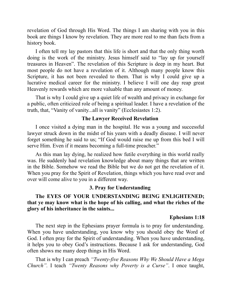revelation of God through His Word. The things I am sharing with you in this book are things I know by revelation. They are more real to me than facts from a history book.

I often tell my lay pastors that this life is short and that the only thing worth doing is the work of the ministry. Jesus himself said to "lay up for yourself treasures in Heaven". The revelation of this Scripture is deep in my heart. But most people do not have a revelation of it. Although many people know this Scripture, it has not been revealed to them. That is why I could give up a lucrative medical career for the ministry. I believe I will one day reap great Heavenly rewards which are more valuable than any amount of money.

That is why I could give up a quiet life of wealth and privacy in exchange for a public, often criticized role of being a spiritual leader. I have a revelation of the truth, that, "Vanity of vanity...all is vanity" (Ecclesiastes 1:2).

# **The Lawyer Received Revelation**

I once visited a dying man in the hospital. He was a young and successful lawyer struck down in the midst of his years with a deadly disease. I will never forget something he said to us; "If God would raise me up from this bed I will serve Him. Even if it means becoming a full-time preacher."

As this man lay dying, he realized how futile everything in this world really was. He suddenly had revelation knowledge about many things that are written in the Bible. Somehow we read the Bible but we do not get the revelation of it. When you pray for the Spirit of Revelation, things which you have read over and over will come alive to you in a different way.

# **3. Pray for Understanding**

**The EYES OF YOUR UNDERSTANDING BEING ENLIGHTENED; that ye may know what is the hope of his calling, and what the riches of the glory of his inheritance in the saints...**

# **Ephesians 1:18**

The next step in the Ephesians prayer formula is to pray for understanding. When you have understanding, you know why you should obey the Word of God. I often pray for the Spirit of understanding. When you have understanding, it helps you to obey God's instructions. Because I ask for understanding, God often shows me many deep things in His Word.

That is why I can preach *"Twenty-five Reasons Why We Should Have a Mega Church".* I teach *"Twenty Reasons why Poverty is a Curse"*. I once taught,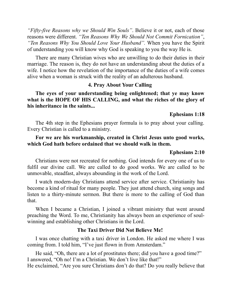*"Fifty-five Reasons why we Should Win Souls"*. Believe it or not, each of those reasons were different. *"Ten Reasons Why We Should Not Commit Fornication"*, *"Ten Reasons Why You Should Love Your Husband".* When you have the Spirit of understanding you will know why God is speaking to you the way He is.

There are many Christian wives who are unwilling to do their duties in their marriage. The reason is, they do not have an understanding about the duties of a wife. I notice how the revelation of the importance of the duties of a wife comes alive when a woman is struck with the reality of an adulterous husband.

# **4. Pray About Your Calling**

**The eyes of your understanding being enlightened; that ye may know what is the HOPE OF HIS CALLING, and what the riches of the glory of his inheritance in the saints...**

**Ephesians 1:18**

The 4th step in the Ephesians prayer formula is to pray about your calling. Every Christian is called to a ministry.

# **For we are his workmanship, created in Christ Jesus unto good works, which God hath before ordained that we should walk in them.**

#### **Ephesians 2:10**

Christians were not recreated for nothing. God intends for every one of us to fulfil our divine call. We are called to do good works. We are called to be unmovable, steadfast, always abounding in the work of the Lord.

I watch modern-day Christians attend service after service. Christianity has become a kind of ritual for many people. They just attend church, sing songs and listen to a thirty-minute sermon. But there is more to the calling of God than that.

When I became a Christian, I joined a vibrant ministry that went around preaching the Word. To me, Christianity has always been an experience of soulwinning and establishing other Christians in the Lord.

#### **The Taxi Driver Did Not Believe Me!**

I was once chatting with a taxi driver in London. He asked me where I was coming from. I told him, "I've just flown in from Amsterdam."

He said, "Oh, there are a lot of prostitutes there; did you have a good time?" I answered, "Oh no! I'm a Christian. We don't live like that!" He exclaimed, "Are you sure Christians don't do that? Do you really believe that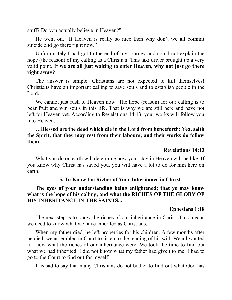stuff? Do you actually believe in Heaven?"

He went on, "If Heaven is really so nice then why don't we all commit suicide and go there right now."

Unfortunately I had got to the end of my journey and could not explain the hope (the reason) of my calling as a Christian. This taxi driver brought up a very valid point. **If we are all just waiting to enter Heaven, why not just go there right away?**

The answer is simple: Christians are not expected to kill themselves! Christians have an important calling to save souls and to establish people in the Lord.

We cannot just rush to Heaven now! The hope (reason) for our calling is to bear fruit and win souls in this life. That is why we are still here and have not left for Heaven yet. According to Revelations 14:13, your works will follow you into Heaven.

# **…Blessed are the dead which die in the Lord from henceforth: Yea, saith the Spirit, that they may rest from their labours; and their works do follow them.**

#### **Revelations 14:13**

What you do on earth will determine how your stay in Heaven will be like. If you know why Christ has saved you, you will have a lot to do for him here on earth.

#### **5. To Know the Riches of Your Inheritance in Christ**

# **The eyes of your understanding being enlightened; that ye may know what is the hope of his calling, and what the RICHES OF THE GLORY OF HIS INHERITANCE IN THE SAINTS...**

#### **Ephesians 1:18**

The next step is to know the riches of our inheritance in Christ. This means we need to know what we have inherited as Christians.

When my father died, he left properties for his children. A few months after he died, we assembled in Court to listen to the reading of his will. We all wanted to know what the riches of our inheritance were. We took the time to find out what we had inherited. I did not know what my father had given to me. I had to go to the Court to find out for myself.

It is sad to say that many Christians do not bother to find out what God has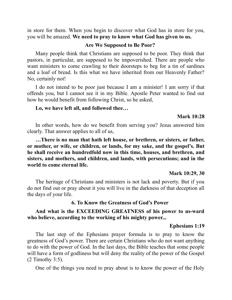in store for them. When you begin to discover what God has in store for you, you will be amazed. **We need to pray to know what God has given to us.**

#### **Are We Supposed to Be Poor?**

Many people think that Christians are supposed to be poor. They think that pastors, in particular, are supposed to be impoverished. There are people who want ministers to come crawling to their doorsteps to beg for a tin of sardines and a loaf of bread. Is this what we have inherited from our Heavenly Father? No, certainly not!

I do not intend to be poor just because I am a minister! I am sorry if that offends you, but I cannot see it in my Bible. Apostle Peter wanted to find out how he would benefit from following Christ, so he asked,

#### **Lo, we have left all, and followed thee…**

#### **Mark 10:28**

In other words, how do we benefit from serving you? Jesus answered him clearly. That answer applies to all of us,

**…There is no man that hath left house, or brethren, or sisters, or father, or mother, or wife, or children, or lands, for my sake, and the gospel's. But he shall receive an hundredfold now in this time, houses, and brethren, and sisters, and mothers, and children, and lands, with persecutions; and in the world to come eternal life.**

#### **Mark 10:29, 30**

The heritage of Christians and ministers is not lack and poverty. But if you do not find out or pray about it you will live in the darkness of that deception all the days of your life.

#### **6. To Know the Greatness of God's Power**

### **And what is the EXCEEDING GREATNESS of his power to us-ward who believe, according to the working of his mighty power...**

#### **Ephesians 1:19**

The last step of the Ephesians prayer formula is to pray to know the greatness of God's power. There are certain Christians who do not want anything to do with the power of God. In the last days, the Bible teaches that some people will have a form of godliness but will deny the reality of the power of the Gospel (2 Timothy 3:5).

One of the things you need to pray about is to know the power of the Holy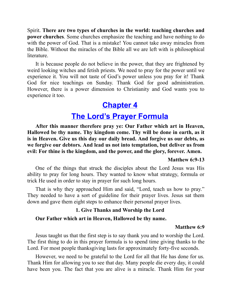Spirit. **There are two types of churches in the world: teaching churches and power churches**. Some churches emphasize the teaching and have nothing to do with the power of God. That is a mistake! You cannot take away miracles from the Bible. Without the miracles of the Bible all we are left with is philosophical literature.

It is because people do not believe in the power, that they are frightened by weird looking witches and fetish priests. We need to pray for the power until we experience it. You will not taste of God's power unless you pray for it! Thank God for nice teachings on Sunday. Thank God for good administration. However, there is a power dimension to Christianity and God wants you to experience it too.

# **[Chapter](#page-1-1) 4**

# **The Lord's Prayer [Formula](#page-1-1)**

<span id="page-21-0"></span>**After this manner therefore pray ye: Our Father which art in Heaven, Hallowed be thy name. Thy kingdom come. Thy will be done in earth, as it is in Heaven. Give us this day our daily bread. And forgive us our debts, as we forgive our debtors. And lead us not into temptation, but deliver us from evil: For thine is the kingdom, and the power, and the glory, forever. Amen.**

#### **Matthew 6:9-13**

One of the things that struck the disciples about the Lord Jesus was His ability to pray for long hours. They wanted to know what strategy, formula or trick He used in order to stay in prayer for such long hours.

That is why they approached Him and said, "Lord, teach us how to pray." They needed to have a sort of guideline for their prayer lives. Jesus sat them down and gave them eight steps to enhance their personal prayer lives.

# **1. Give Thanks and Worship the Lord**

#### **Our Father which art in Heaven, Hallowed be thy name.**

#### **Matthew 6:9**

Jesus taught us that the first step is to say thank you and to worship the Lord. The first thing to do in this prayer formula is to spend time giving thanks to the Lord. For most people thanksgiving lasts for approximately forty-five seconds.

However, we need to be grateful to the Lord for all that He has done for us. Thank Him for allowing you to see that day. Many people die every day, it could have been you. The fact that you are alive is a miracle. Thank Him for your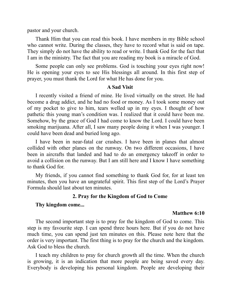pastor and your church.

Thank Him that you can read this book. I have members in my Bible school who cannot write. During the classes, they have to record what is said on tape. They simply do not have the ability to read or write. I thank God for the fact that I am in the ministry. The fact that you are reading my book is a miracle of God.

Some people can only see problems. God is touching your eyes right now! He is opening your eyes to see His blessings all around. In this first step of prayer, you must thank the Lord for what He has done for you.

#### **A Sad Visit**

I recently visited a friend of mine. He lived virtually on the street. He had become a drug addict, and he had no food or money. As I took some money out of my pocket to give to him, tears welled up in my eyes. I thought of how pathetic this young man's condition was. I realized that it could have been me. Somehow, by the grace of God I had come to know the Lord. I could have been smoking marijuana. After all, I saw many people doing it when I was younger. I could have been dead and buried long ago.

I have been in near-fatal car crashes. I have been in planes that almost collided with other planes on the runway. On two different occasions, I have been in aircrafts that landed and had to do an emergency takeoff in order to avoid a collision on the runway. But I am still here and I know I have something to thank God for.

My friends, if you cannot find something to thank God for, for at least ten minutes, then you have an ungrateful spirit. This first step of the Lord's Prayer Formula should last about ten minutes.

## **2. Pray for the Kingdom of God to Come**

#### **Thy kingdom come...**

#### **Matthew 6:10**

The second important step is to pray for the kingdom of God to come. This step is my favourite step. I can spend three hours here. But if you do not have much time, you can spend just ten minutes on this. Please note here that the order is very important. The first thing is to pray for the church and the kingdom. Ask God to bless the church.

I teach my children to pray for church growth all the time. When the church is growing, it is an indication that more people are being saved every day. Everybody is developing his personal kingdom. People are developing their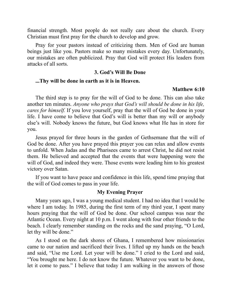financial strength. Most people do not really care about the church. Every Christian must first pray for the church to develop and grow.

Pray for your pastors instead of criticizing them. Men of God are human beings just like you. Pastors make so many mistakes every day. Unfortunately, our mistakes are often publicized. Pray that God will protect His leaders from attacks of all sorts.

#### **3. God's Will Be Done**

#### **...Thy will be done in earth as it is in Heaven.**

#### **Matthew 6:10**

The third step is to pray for the will of God to be done. This can also take another ten minutes. *Anyone who prays that God's will should be done in his life, cares for himself.* If you love yourself, pray that the will of God be done in your life. I have come to believe that God's will is better than my will or anybody else's will. Nobody knows the future, but God knows what He has in store for you.

Jesus prayed for three hours in the garden of Gethsemane that the will of God be done. After you have prayed this prayer you can relax and allow events to unfold. When Judas and the Pharisees came to arrest Christ, he did not resist them. He believed and accepted that the events that were happening were the will of God, and indeed they were. Those events were leading him to his greatest victory over Satan.

If you want to have peace and confidence in this life, spend time praying that the will of God comes to pass in your life.

#### **My Evening Prayer**

Many years ago, I was a young medical student. I had no idea that I would be where I am today. In 1985, during the first term of my third year, I spent many hours praying that the will of God be done. Our school campus was near the Atlantic Ocean. Every night at 10 p.m. I went along with four other friends to the beach. I clearly remember standing on the rocks and the sand praying, "O Lord, let thy will be done."

As I stood on the dark shores of Ghana, I remembered how missionaries came to our nation and sacrificed their lives. I lifted up my hands on the beach and said, "Use me Lord. Let your will be done." I cried to the Lord and said, "You brought me here. I do not know the future. Whatever you want to be done, let it come to pass." I believe that today I am walking in the answers of those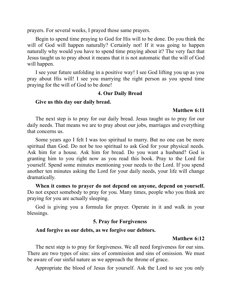prayers. For several weeks, I prayed those same prayers.

Begin to spend time praying to God for His will to be done. Do you think the will of God will happen naturally? Certainly not! If it was going to happen naturally why would you have to spend time praying about it? The very fact that Jesus taught us to pray about it means that it is not automatic that the will of God will happen.

I see your future unfolding in a positive way! I see God lifting you up as you pray about His will! I see you marrying the right person as you spend time praying for the will of God to be done!

#### **4. Our Daily Bread**

#### **Give us this day our daily bread.**

#### **Matthew 6:11**

The next step is to pray for our daily bread. Jesus taught us to pray for our daily needs. That means we are to pray about our jobs, marriages and everything that concerns us.

Some years ago I felt I was too spiritual to marry. But no one can be more spiritual than God. Do not be too spiritual to ask God for your physical needs. Ask him for a house. Ask him for bread. Do you want a husband? God is granting him to you right now as you read this book. Pray to the Lord for yourself. Spend some minutes mentioning your needs to the Lord. If you spend another ten minutes asking the Lord for your daily needs, your life will change dramatically.

**When it comes to prayer do not depend on anyone, depend on yourself.** Do not expect somebody to pray for you. Many times, people who you think are praying for you are actually sleeping.

God is giving you a formula for prayer. Operate in it and walk in your blessings.

# **5. Pray for Forgiveness**

#### **And forgive us our debts, as we forgive our debtors.**

#### **Matthew 6:12**

The next step is to pray for forgiveness. We all need forgiveness for our sins. There are two types of sins: sins of commission and sins of omission. We must be aware of our sinful nature as we approach the throne of grace.

Appropriate the blood of Jesus for yourself. Ask the Lord to see you only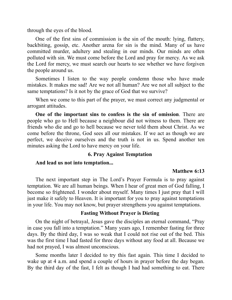through the eyes of the blood.

One of the first sins of commission is the sin of the mouth: lying, flattery, backbiting, gossip, etc. Another arena for sin is the mind. Many of us have committed murder, adultery and stealing in our minds. Our minds are often polluted with sin. We must come before the Lord and pray for mercy. As we ask the Lord for mercy, we must search our hearts to see whether we have forgiven the people around us.

Sometimes I listen to the way people condemn those who have made mistakes. It makes me sad! Are we not all human? Are we not all subject to the same temptations? Is it not by the grace of God that we survive?

When we come to this part of the prayer, we must correct any judgmental or arrogant attitudes.

**One of the important sins to confess is the sin of omission**. There are people who go to Hell because a neighbour did not witness to them. There are friends who die and go to hell because we never told them about Christ. As we come before the throne, God sees all our mistakes. If we act as though we are perfect, we deceive ourselves and the truth is not in us. Spend another ten minutes asking the Lord to have mercy on your life.

#### **6. Pray Against Temptation**

#### **And lead us not into temptation...**

#### **Matthew 6:13**

The next important step in The Lord's Prayer Formula is to pray against temptation. We are all human beings. When I hear of great men of God falling, I become so frightened. I wonder about myself. Many times I just pray that I will just make it safely to Heaven. It is important for you to pray against temptations in your life. You may not know, but prayer strengthens you against temptations.

#### **Fasting Without Prayer is Dieting**

On the night of betrayal, Jesus gave the disciples an eternal command, "Pray in case you fall into a temptation." Many years ago, I remember fasting for three days. By the third day, I was so weak that I could not rise out of the bed. This was the first time I had fasted for three days without any food at all. Because we had not prayed, I was almost unconscious.

Some months later I decided to try this fast again. This time I decided to wake up at 4 a.m. and spend a couple of hours in prayer before the day began. By the third day of the fast, I felt as though I had had something to eat. There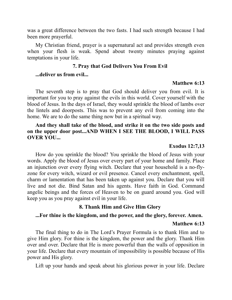was a great difference between the two fasts. I had such strength because I had been more prayerful.

My Christian friend, prayer is a supernatural act and provides strength even when your flesh is weak. Spend about twenty minutes praying against temptations in your life.

# **7. Pray that God Delivers You From Evil**

#### **...deliver us from evil...**

#### **Matthew 6:13**

The seventh step is to pray that God should deliver you from evil. It is important for you to pray against the evils in this world. Cover yourself with the blood of Jesus. In the days of Israel, they would sprinkle the blood of lambs over the lintels and doorposts. This was to prevent any evil from coming into the home. We are to do the same thing now but in a spiritual way.

# **And they shall take of the blood, and strike it on the two side posts and on the upper door post...AND WHEN I SEE THE BLOOD, I WILL PASS OVER YOU...**

#### **Exodus 12:7,13**

How do you sprinkle the blood? You sprinkle the blood of Jesus with your words. Apply the blood of Jesus over every part of your home and family. Place an injunction over every flying witch. Declare that your household is a no-flyzone for every witch, wizard or evil presence. Cancel every enchantment, spell, charm or lamentation that has been taken up against you. Declare that you will live and not die. Bind Satan and his agents. Have faith in God. Command angelic beings and the forces of Heaven to be on guard around you. God will keep you as you pray against evil in your life.

#### **8. Thank Him and Give Him Glory**

#### **...For thine is the kingdom, and the power, and the glory, forever. Amen.**

#### **Matthew 6:13**

The final thing to do in The Lord's Prayer Formula is to thank Him and to give Him glory. For thine is the kingdom, the power and the glory. Thank Him over and over. Declare that He is more powerful than the walls of opposition in your life. Declare that every mountain of impossibility is possible because of His power and His glory.

Lift up your hands and speak about his glorious power in your life. Declare